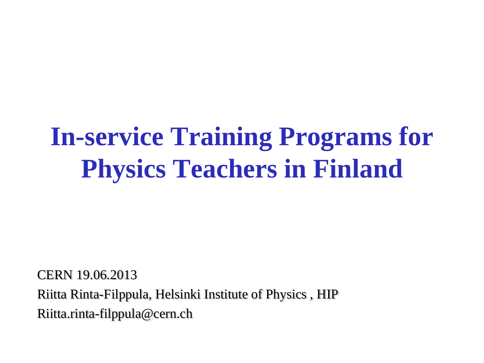# **In-service Training Programs for Physics Teachers in Finland**

CERN 19.06.2013 Riitta Rinta-Filppula, Helsinki Institute of Physics , HIP Riitta.rinta-filppula@cern.ch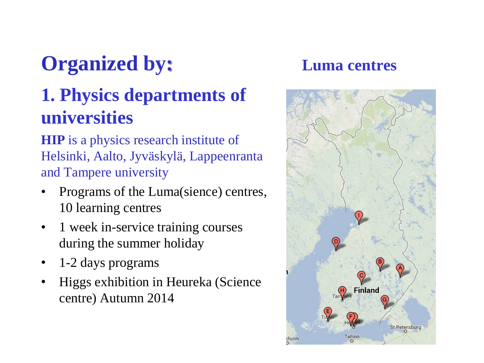# **Organized by: Luma centres**

### **1. Physics departments of universities**

**HIP** is a physics research institute of Helsinki, Aalto, Jyväskylä, Lappeenranta and Tampere university

- Programs of the Luma(sience) centres, 10 learning centres
- 1 week in-service training courses during the summer holiday
- 1-2 days programs
- Higgs exhibition in Heureka (Science centre) Autumn 2014

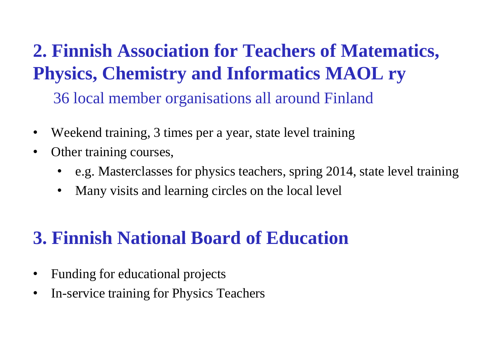**2. Finnish Association for Teachers of Matematics, Physics, Chemistry and Informatics MAOL ry** 36 local member organisations all around Finland

- Weekend training, 3 times per a year, state level training
- Other training courses,
	- e.g. Masterclasses for physics teachers, spring 2014, state level training
	- Many visits and learning circles on the local level

### **3. Finnish National Board of Education**

- Funding for educational projects
- In-service training for Physics Teachers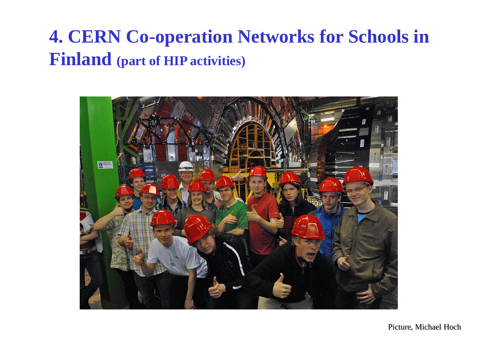### **4. CERN Co-operation Networks for Schools in Finland (part of HIP activities)**



Picture, Michael Hoch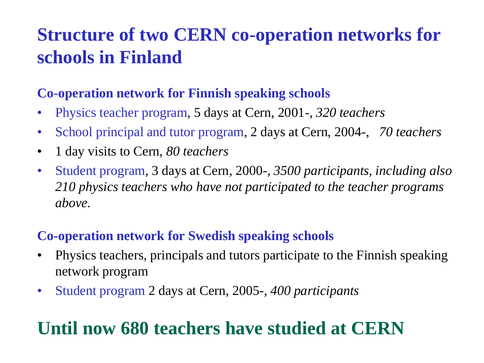### **Structure of two CERN co-operation networks for schools in Finland**

### **Co-operation network for Finnish speaking schools**

- Physics teacher program, 5 days at Cern, 2001-, *320 teachers*
- School principal and tutor program, 2 days at Cern, 2004-, *70 teachers*
- 1 day visits to Cern, *80 teachers*
- Student program, 3 days at Cern, 2000-, *3500 participants, including also 210 physics teachers who have not participated to the teacher programs above.*

#### **Co-operation network for Swedish speaking schools**

- Physics teachers, principals and tutors participate to the Finnish speaking network program
- Student program 2 days at Cern, 2005-, *400 participants*

### **Until now 680 teachers have studied at CERN**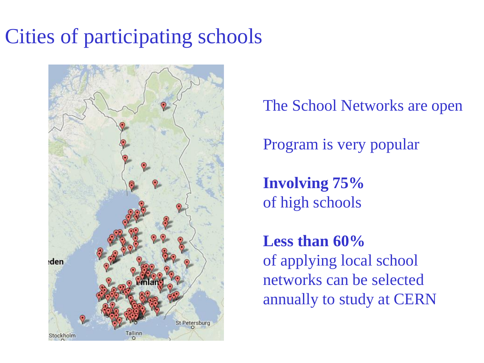## Cities of participating schools



The School Networks are open

Program is very popular

**Involving 75%**  of high schools

**Less than 60%**  of applying local school networks can be selected annually to study at CERN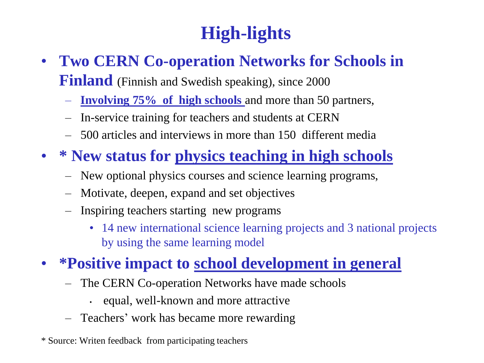### **High-lights**

- **Two CERN Co-operation Networks for Schools in Finland** (Finnish and Swedish speaking), since 2000
	- **Involving 75% of high schools** and more than 50 partners,
	- In-service training for teachers and students at CERN
	- 500 articles and interviews in more than 150 different media
- **\* New status for physics teaching in high schools**
	- New optional physics courses and science learning programs,
	- Motivate, deepen, expand and set objectives
	- Inspiring teachers starting new programs
		- 14 new international science learning projects and 3 national projects by using the same learning model

### • **\*Positive impact to school development in general**

- The CERN Co-operation Networks have made schools
	- equal, well-known and more attractive
- Teachers' work has became more rewarding
- \* Source: Writen feedback from participating teachers